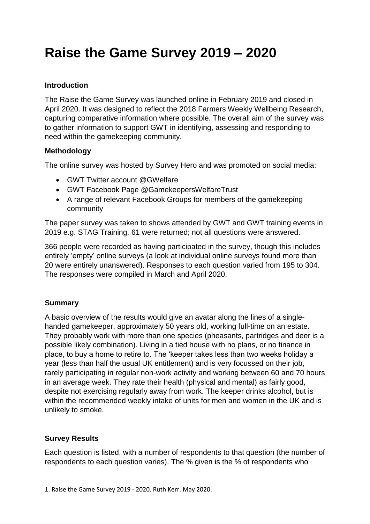# **Raise the Game Survey 2019 – 2020**

#### **Introduction**

The Raise the Game Survey was launched online in February 2019 and closed in April 2020. It was designed to reflect the 2018 Farmers Weekly Wellbeing Research, capturing comparative information where possible. The overall aim of the survey was to gather information to support GWT in identifying, assessing and responding to need within the gamekeeping community.

#### **Methodology**

The online survey was hosted by Survey Hero and was promoted on social media:

- GWT Twitter account @GWelfare
- GWT Facebook Page @GamekeepersWelfareTrust
- A range of relevant Facebook Groups for members of the gamekeeping community

The paper survey was taken to shows attended by GWT and GWT training events in 2019 e.g. STAG Training. 61 were returned; not all questions were answered.

366 people were recorded as having participated in the survey, though this includes entirely 'empty' online surveys (a look at individual online surveys found more than 20 were entirely unanswered). Responses to each question varied from 195 to 304. The responses were compiled in March and April 2020.

#### **Summary**

A basic overview of the results would give an avatar along the lines of a singlehanded gamekeeper, approximately 50 years old, working full-time on an estate. They probably work with more than one species (pheasants, partridges and deer is a possible likely combination). Living in a tied house with no plans, or no finance in place, to buy a home to retire to. The 'keeper takes less than two weeks holiday a year (less than half the usual UK entitlement) and is very focussed on their job, rarely participating in regular non-work activity and working between 60 and 70 hours in an average week. They rate their health (physical and mental) as fairly good, despite not exercising regularly away from work. The keeper drinks alcohol, but is within the recommended weekly intake of units for men and women in the UK and is unlikely to smoke.

### **Survey Results**

Each question is listed, with a number of respondents to that question (the number of respondents to each question varies). The % given is the % of respondents who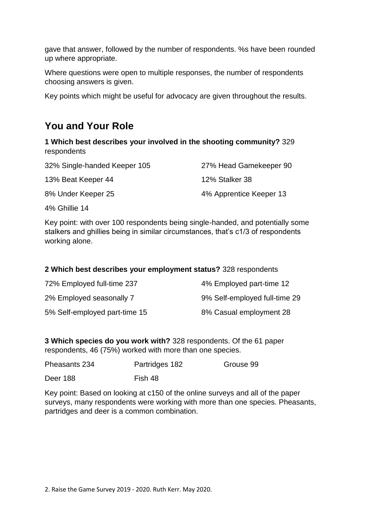gave that answer, followed by the number of respondents. %s have been rounded up where appropriate.

Where questions were open to multiple responses, the number of respondents choosing answers is given.

Key points which might be useful for advocacy are given throughout the results.

## **You and Your Role**

**1 Which best describes your involved in the shooting community?** 329 respondents

| 32% Single-handed Keeper 105 | 27% Head Gamekeeper 90  |
|------------------------------|-------------------------|
| 13% Beat Keeper 44           | 12% Stalker 38          |
| 8% Under Keeper 25           | 4% Apprentice Keeper 13 |

4% Ghillie 14

Key point: with over 100 respondents being single-handed, and potentially some stalkers and ghillies being in similar circumstances, that's c1/3 of respondents working alone.

#### **2 Which best describes your employment status?** 328 respondents

| 72% Employed full-time 237    | 4% Employed part-time 12      |
|-------------------------------|-------------------------------|
| 2% Employed seasonally 7      | 9% Self-employed full-time 29 |
| 5% Self-employed part-time 15 | 8% Casual employment 28       |

**3 Which species do you work with?** 328 respondents. Of the 61 paper respondents, 46 (75%) worked with more than one species.

| Pheasants 234 | Partridges 182 | Grouse 99 |
|---------------|----------------|-----------|
| Deer 188      | Fish 48        |           |

Key point: Based on looking at c150 of the online surveys and all of the paper surveys, many respondents were working with more than one species. Pheasants, partridges and deer is a common combination.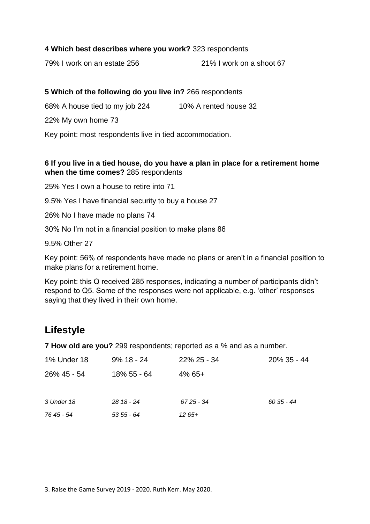#### **4 Which best describes where you work?** 323 respondents

79% I work on an estate 256 21% I work on a shoot 67

#### **5 Which of the following do you live in?** 266 respondents

68% A house tied to my job 224 10% A rented house 32

22% My own home 73

Key point: most respondents live in tied accommodation.

### **6 If you live in a tied house, do you have a plan in place for a retirement home when the time comes?** 285 respondents

25% Yes I own a house to retire into 71

9.5% Yes I have financial security to buy a house 27

26% No I have made no plans 74

30% No I'm not in a financial position to make plans 86

9.5% Other 27

Key point: 56% of respondents have made no plans or aren't in a financial position to make plans for a retirement home.

Key point: this Q received 285 responses, indicating a number of participants didn't respond to Q5. Some of the responses were not applicable, e.g. 'other' responses saying that they lived in their own home.

# **Lifestyle**

**7 How old are you?** 299 respondents; reported as a % and as a number.

| 1% Under 18 | $9\%$ 18 - 24 | $22\%$ 25 - 34 | 20% 35 - 44 |
|-------------|---------------|----------------|-------------|
| 26% 45 - 54 | 18% 55 - 64   | $4\%$ 65+      |             |
| 3 Under 18  | $2818 - 24$   | 67 25 - 34     | 60 35 - 44  |
| 76 45 - 54  | $535 - 64$    | $1265+$        |             |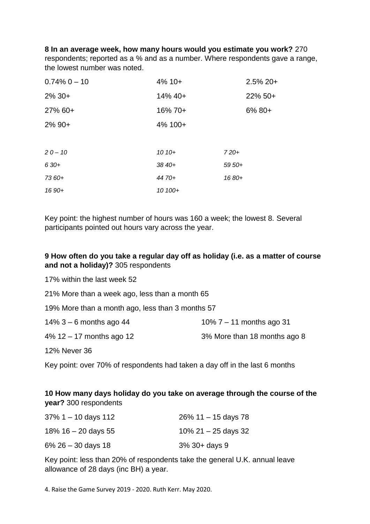#### **8 In an average week, how many hours would you estimate you work?** 270

respondents; reported as a % and as a number. Where respondents gave a range, the lowest number was noted.

| $0.74\%$ 0 $-$ 10 | $4\%$ 10+ | $2.5\%$ 20+ |
|-------------------|-----------|-------------|
| $2\%30+$          | 14% 40+   | 22% 50+     |
| 27% 60+           | 16% 70+   | $6\%80+$    |
| $2\%$ 90+         | 4% 100+   |             |
|                   |           |             |
| $20 - 10$         | $1010+$   | $720+$      |
| $630+$            | 38 40+    | $5950+$     |
| 73 60+            | 44 70+    | 1680+       |
| 16 90+            | 10 100+   |             |

Key point: the highest number of hours was 160 a week; the lowest 8. Several participants pointed out hours vary across the year.

### **9 How often do you take a regular day off as holiday (i.e. as a matter of course and not a holiday)?** 305 respondents

17% within the last week 52

21% More than a week ago, less than a month 65

19% More than a month ago, less than 3 months 57

| 10% $7 - 11$ months ago 31 |
|----------------------------|
|                            |

4% 12 – 17 months ago 12 3% More than 18 months ago 8

12% Never 36

Key point: over 70% of respondents had taken a day off in the last 6 months

### **10 How many days holiday do you take on average through the course of the year?** 300 respondents

| $37\%$ 1 – 10 days 112 | $26\%$ 11 – 15 days 78 |
|------------------------|------------------------|
| 18% $16 - 20$ days 55  | 10% 21 $-$ 25 days 32  |
| $6\%$ 26 – 30 days 18  | $3\%$ 30+ days 9       |

Key point: less than 20% of respondents take the general U.K. annual leave allowance of 28 days (inc BH) a year.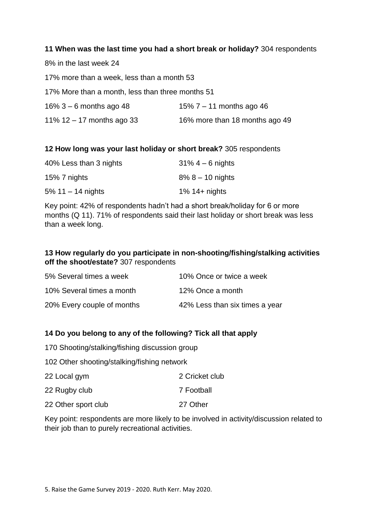#### **11 When was the last time you had a short break or holiday?** 304 respondents

8% in the last week 24 17% more than a week, less than a month 53 17% More than a month, less than three months 51 16% 3 – 6 months ago 48 15% 7 – 11 months ago 46 11%  $12 - 17$  months ago 33 16% more than 18 months ago 49

#### **12 How long was your last holiday or short break?** 305 respondents

| 40% Less than 3 nights | $31\% - 6$ nights     |
|------------------------|-----------------------|
| 15% 7 nights           | $8\%$ 8 $-$ 10 nights |
| 5% $11 - 14$ nights    | $1\%$ 14+ nights      |

Key point: 42% of respondents hadn't had a short break/holiday for 6 or more months (Q 11). 71% of respondents said their last holiday or short break was less than a week long.

#### **13 How regularly do you participate in non-shooting/fishing/stalking activities off the shoot/estate?** 307 respondents

| 5% Several times a week    | 10% Once or twice a week       |
|----------------------------|--------------------------------|
| 10% Several times a month  | 12% Once a month               |
| 20% Every couple of months | 42% Less than six times a year |

### **14 Do you belong to any of the following? Tick all that apply**

170 Shooting/stalking/fishing discussion group

102 Other shooting/stalking/fishing network

| 22 Local gym        | 2 Cricket club |
|---------------------|----------------|
| 22 Rugby club       | 7 Football     |
| 22 Other sport club | 27 Other       |

Key point: respondents are more likely to be involved in activity/discussion related to their job than to purely recreational activities.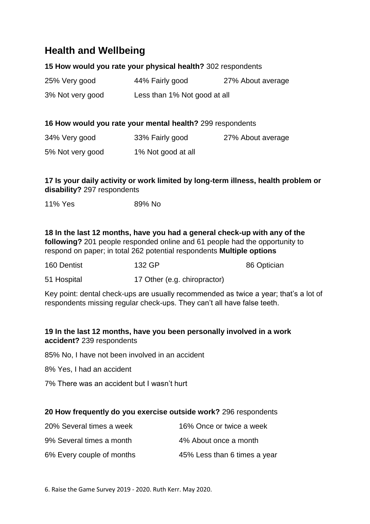# **Health and Wellbeing**

#### **15 How would you rate your physical health?** 302 respondents

| 25% Very good    | 44% Fairly good              | 27% About average |
|------------------|------------------------------|-------------------|
| 3% Not very good | Less than 1% Not good at all |                   |

#### **16 How would you rate your mental health?** 299 respondents

| 34% Very good    | 33% Fairly good    | 27% About average |
|------------------|--------------------|-------------------|
| 5% Not very good | 1% Not good at all |                   |

### **17 Is your daily activity or work limited by long-term illness, health problem or disability?** 297 respondents

11% Yes 89% No

**18 In the last 12 months, have you had a general check-up with any of the following?** 201 people responded online and 61 people had the opportunity to respond on paper; in total 262 potential respondents **Multiple options**

| 160 Dentist | 132 GP                       | 86 Optician |
|-------------|------------------------------|-------------|
| 51 Hospital | 17 Other (e.g. chiropractor) |             |

Key point: dental check-ups are usually recommended as twice a year; that's a lot of respondents missing regular check-ups. They can't all have false teeth.

### **19 In the last 12 months, have you been personally involved in a work accident?** 239 respondents

85% No, I have not been involved in an accident

8% Yes, I had an accident

7% There was an accident but I wasn't hurt

#### **20 How frequently do you exercise outside work?** 296 respondents

| 20% Several times a week  | 16% Once or twice a week     |
|---------------------------|------------------------------|
| 9% Several times a month  | 4% About once a month        |
| 6% Every couple of months | 45% Less than 6 times a year |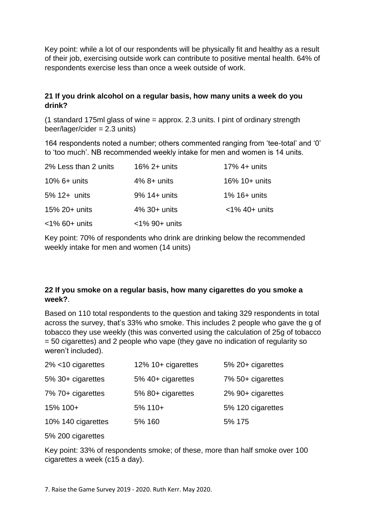Key point: while a lot of our respondents will be physically fit and healthy as a result of their job, exercising outside work can contribute to positive mental health. 64% of respondents exercise less than once a week outside of work.

#### **21 If you drink alcohol on a regular basis, how many units a week do you drink?**

(1 standard 175ml glass of wine = approx. 2.3 units. I pint of ordinary strength beer/lager/cider = 2.3 units)

164 respondents noted a number; others commented ranging from 'tee-total' and '0' to 'too much'. NB recommended weekly intake for men and women is 14 units.

| 2% Less than 2 units | $16\%$ 2+ units  | $17\%$ 4+ units  |
|----------------------|------------------|------------------|
| $10\%$ 6+ units      | $4\%$ 8+ units   | 16% 10+ units    |
| 5% 12+ units         | $9\%$ 14+ units  | $1\%$ 16+ units  |
| 15% 20+ units        | $4\%$ 30+ units  | $<$ 1% 40+ units |
| $<$ 1% 60+ units     | $<$ 1% 90+ units |                  |

Key point: 70% of respondents who drink are drinking below the recommended weekly intake for men and women (14 units)

### **22 If you smoke on a regular basis, how many cigarettes do you smoke a week?**.

Based on 110 total respondents to the question and taking 329 respondents in total across the survey, that's 33% who smoke. This includes 2 people who gave the g of tobacco they use weekly (this was converted using the calculation of 25g of tobacco = 50 cigarettes) and 2 people who vape (they gave no indication of regularity so weren't included).

| $2\%$ <10 cigarettes | 12% 10+ cigarettes | 5% 20+ cigarettes |
|----------------------|--------------------|-------------------|
| 5% 30+ cigarettes    | 5% 40+ cigarettes  | 7% 50+ cigarettes |
| 7% 70+ cigarettes    | 5% 80+ cigarettes  | 2% 90+ cigarettes |
| 15% 100+             | 5% 110+            | 5% 120 cigarettes |
| 10% 140 cigarettes   | 5% 160             | 5% 175            |

5% 200 cigarettes

Key point: 33% of respondents smoke; of these, more than half smoke over 100 cigarettes a week (c15 a day).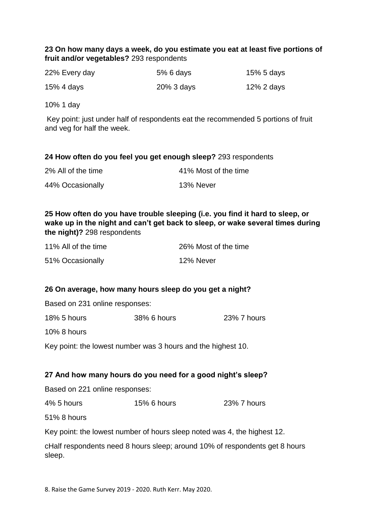### **23 On how many days a week, do you estimate you eat at least five portions of fruit and/or vegetables?** 293 respondents

| 22% Every day | 5% 6 days     | 15% 5 days |
|---------------|---------------|------------|
| 15% 4 days    | $20\%$ 3 days | 12% 2 days |

10% 1 day

Key point: just under half of respondents eat the recommended 5 portions of fruit and veg for half the week.

#### **24 How often do you feel you get enough sleep?** 293 respondents

| 2% All of the time | 41% Most of the time |
|--------------------|----------------------|
| 44% Occasionally   | 13% Never            |

**25 How often do you have trouble sleeping (i.e. you find it hard to sleep, or wake up in the night and can't get back to sleep, or wake several times during the night)?** 298 respondents

| 11% All of the time | 26% Most of the time |
|---------------------|----------------------|
| 51% Occasionally    | 12% Never            |

#### **26 On average, how many hours sleep do you get a night?**

Based on 231 online responses:

| <b>18% 5 hours</b> | 38% 6 hours | 23% 7 hours |
|--------------------|-------------|-------------|
|--------------------|-------------|-------------|

10% 8 hours

Key point: the lowest number was 3 hours and the highest 10.

#### **27 And how many hours do you need for a good night's sleep?**

Based on 221 online responses:

4% 5 hours 15% 6 hours 23% 7 hours

51% 8 hours

Key point: the lowest number of hours sleep noted was 4, the highest 12.

cHalf respondents need 8 hours sleep; around 10% of respondents get 8 hours sleep.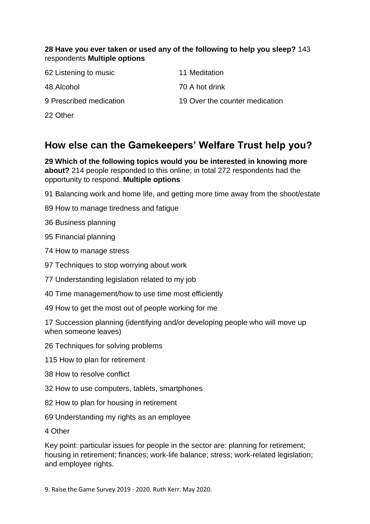#### **28 Have you ever taken or used any of the following to help you sleep?** 143 respondents **Multiple options**

| 62 Listening to music   | 11 Meditation                  |
|-------------------------|--------------------------------|
| 48 Alcohol              | 70 A hot drink                 |
| 9 Prescribed medication | 19 Over the counter medication |
| 22 Other                |                                |

# **How else can the Gamekeepers' Welfare Trust help you?**

**29 Which of the following topics would you be interested in knowing more about?** 214 people responded to this online; in total 272 respondents had the opportunity to respond. **Multiple options**

91 Balancing work and home life, and getting more time away from the shoot/estate

89 How to manage tiredness and fatigue

36 Business planning

95 Financial planning

74 How to manage stress

97 Techniques to stop worrying about work

77 Understanding legislation related to my job

40 Time management/how to use time most efficiently

49 How to get the most out of people working for me

17 Succession planning (identifying and/or developing people who will move up when someone leaves)

26 Techniques for solving problems

115 How to plan for retirement

38 How to resolve conflict

- 32 How to use computers, tablets, smartphones
- 82 How to plan for housing in retirement

69 Understanding my rights as an employee

4 Other

Key point: particular issues for people in the sector are: planning for retirement; housing in retirement; finances; work-life balance; stress; work-related legislation; and employee rights.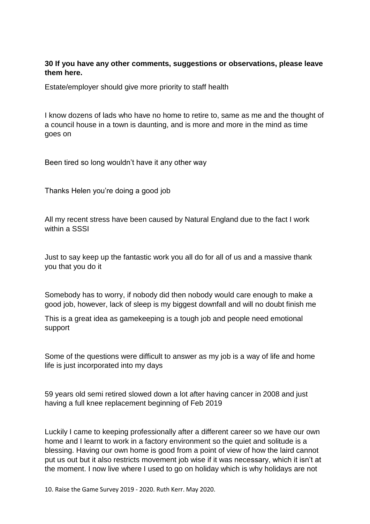#### **30 If you have any other comments, suggestions or observations, please leave them here.**

Estate/employer should give more priority to staff health

I know dozens of lads who have no home to retire to, same as me and the thought of a council house in a town is daunting, and is more and more in the mind as time goes on

Been tired so long wouldn't have it any other way

Thanks Helen you're doing a good job

All my recent stress have been caused by Natural England due to the fact I work within a SSSI

Just to say keep up the fantastic work you all do for all of us and a massive thank you that you do it

Somebody has to worry, if nobody did then nobody would care enough to make a good job, however, lack of sleep is my biggest downfall and will no doubt finish me

This is a great idea as gamekeeping is a tough job and people need emotional support

Some of the questions were difficult to answer as my job is a way of life and home life is just incorporated into my days

59 years old semi retired slowed down a lot after having cancer in 2008 and just having a full knee replacement beginning of Feb 2019

Luckily I came to keeping professionally after a different career so we have our own home and I learnt to work in a factory environment so the quiet and solitude is a blessing. Having our own home is good from a point of view of how the laird cannot put us out but it also restricts movement job wise if it was necessary, which it isn't at the moment. I now live where I used to go on holiday which is why holidays are not